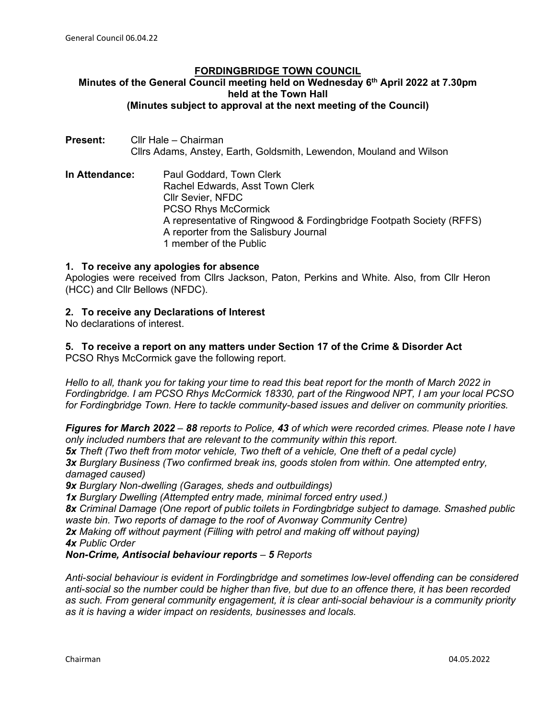## **FORDINGBRIDGE TOWN COUNCIL Minutes of the General Council meeting held on Wednesday 6th April 2022 at 7.30pm held at the Town Hall (Minutes subject to approval at the next meeting of the Council)**

- **Present:** Cllr Hale Chairman Cllrs Adams, Anstey, Earth, Goldsmith, Lewendon, Mouland and Wilson
- **In Attendance:** Paul Goddard, Town Clerk Rachel Edwards, Asst Town Clerk Cllr Sevier, NFDC PCSO Rhys McCormick A representative of Ringwood & Fordingbridge Footpath Society (RFFS) A reporter from the Salisbury Journal 1 member of the Public

# **1. To receive any apologies for absence**

Apologies were received from Cllrs Jackson, Paton, Perkins and White. Also, from Cllr Heron (HCC) and Cllr Bellows (NFDC).

# **2. To receive any Declarations of Interest**

No declarations of interest.

**5. To receive a report on any matters under Section 17 of the Crime & Disorder Act** PCSO Rhys McCormick gave the following report.

*Hello to all, thank you for taking your time to read this beat report for the month of March 2022 in Fordingbridge. I am PCSO Rhys McCormick 18330, part of the Ringwood NPT, I am your local PCSO for Fordingbridge Town. Here to tackle community-based issues and deliver on community priorities.* 

*Figures for March 2022 – 88 reports to Police, 43 of which were recorded crimes. Please note I have only included numbers that are relevant to the community within this report. 5x Theft (Two theft from motor vehicle, Two theft of a vehicle, One theft of a pedal cycle)*

*3x Burglary Business (Two confirmed break ins, goods stolen from within. One attempted entry, damaged caused)*

*9x Burglary Non-dwelling (Garages, sheds and outbuildings)*

*1x Burglary Dwelling (Attempted entry made, minimal forced entry used.)* 

*8x Criminal Damage (One report of public toilets in Fordingbridge subject to damage. Smashed public waste bin. Two reports of damage to the roof of Avonway Community Centre)* 

*2x Making off without payment (Filling with petrol and making off without paying) 4x Public Order* 

# *Non-Crime, Antisocial behaviour reports – 5 Reports*

*Anti-social behaviour is evident in Fordingbridge and sometimes low-level offending can be considered anti-social so the number could be higher than five, but due to an offence there, it has been recorded as such. From general community engagement, it is clear anti-social behaviour is a community priority as it is having a wider impact on residents, businesses and locals.*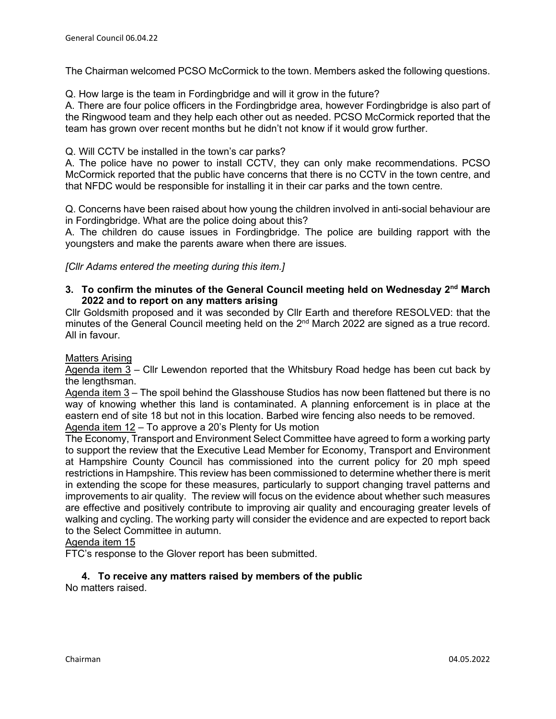The Chairman welcomed PCSO McCormick to the town. Members asked the following questions.

Q. How large is the team in Fordingbridge and will it grow in the future?

A. There are four police officers in the Fordingbridge area, however Fordingbridge is also part of the Ringwood team and they help each other out as needed. PCSO McCormick reported that the team has grown over recent months but he didn't not know if it would grow further.

Q. Will CCTV be installed in the town's car parks?

A. The police have no power to install CCTV, they can only make recommendations. PCSO McCormick reported that the public have concerns that there is no CCTV in the town centre, and that NFDC would be responsible for installing it in their car parks and the town centre.

Q. Concerns have been raised about how young the children involved in anti-social behaviour are in Fordingbridge. What are the police doing about this?

A. The children do cause issues in Fordingbridge. The police are building rapport with the youngsters and make the parents aware when there are issues.

*[Cllr Adams entered the meeting during this item.]*

# **3. To confirm the minutes of the General Council meeting held on Wednesday 2nd March 2022 and to report on any matters arising**

Cllr Goldsmith proposed and it was seconded by Cllr Earth and therefore RESOLVED: that the minutes of the General Council meeting held on the 2<sup>nd</sup> March 2022 are signed as a true record. All in favour.

### Matters Arising

Agenda item  $3$  – Cllr Lewendon reported that the Whitsbury Road hedge has been cut back by the lengthsman.

Agenda item 3 – The spoil behind the Glasshouse Studios has now been flattened but there is no way of knowing whether this land is contaminated. A planning enforcement is in place at the eastern end of site 18 but not in this location. Barbed wire fencing also needs to be removed. Agenda item 12 – To approve a 20's Plenty for Us motion

The Economy, Transport and Environment Select Committee have agreed to form a working party to support the review that the Executive Lead Member for Economy, Transport and Environment at Hampshire County Council has commissioned into the current policy for 20 mph speed restrictions in Hampshire. This review has been commissioned to determine whether there is merit in extending the scope for these measures, particularly to support changing travel patterns and improvements to air quality. The review will focus on the evidence about whether such measures are effective and positively contribute to improving air quality and encouraging greater levels of walking and cycling. The working party will consider the evidence and are expected to report back to the Select Committee in autumn.

# Agenda item 15

FTC's response to the Glover report has been submitted.

# **4. To receive any matters raised by members of the public**

No matters raised.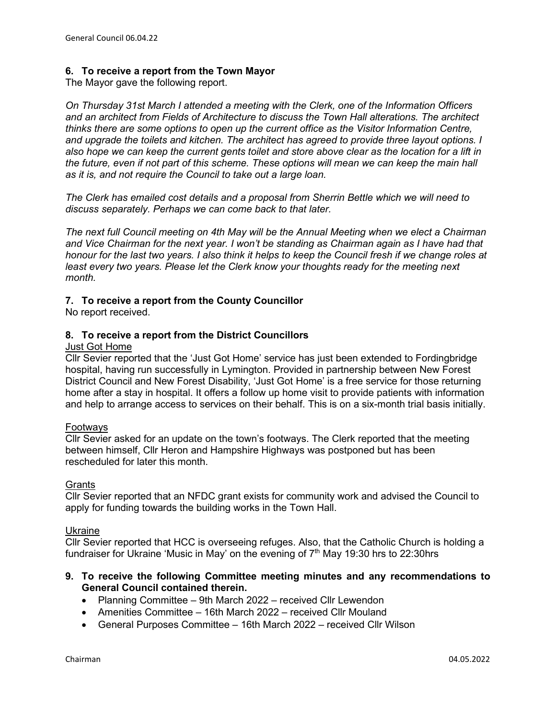# **6. To receive a report from the Town Mayor**

The Mayor gave the following report.

*On Thursday 31st March I attended a meeting with the Clerk, one of the Information Officers and an architect from Fields of Architecture to discuss the Town Hall alterations. The architect thinks there are some options to open up the current office as the Visitor Information Centre, and upgrade the toilets and kitchen. The architect has agreed to provide three layout options. I also hope we can keep the current gents toilet and store above clear as the location for a lift in the future, even if not part of this scheme. These options will mean we can keep the main hall as it is, and not require the Council to take out a large loan.*

*The Clerk has emailed cost details and a proposal from Sherrin Bettle which we will need to discuss separately. Perhaps we can come back to that later.* 

*The next full Council meeting on 4th May will be the Annual Meeting when we elect a Chairman and Vice Chairman for the next year. I won't be standing as Chairman again as I have had that honour for the last two years. I also think it helps to keep the Council fresh if we change roles at least every two years. Please let the Clerk know your thoughts ready for the meeting next month.* 

### **7. To receive a report from the County Councillor**

No report received.

# **8. To receive a report from the District Councillors**

#### Just Got Home

Cllr Sevier reported that the 'Just Got Home' service has just been extended to Fordingbridge hospital, having run successfully in Lymington. Provided in partnership between New Forest District Council and New Forest Disability, 'Just Got Home' is a free service for those returning home after a stay in hospital. It offers a follow up home visit to provide patients with information and help to arrange access to services on their behalf. This is on a six-month trial basis initially.

#### Footways

Cllr Sevier asked for an update on the town's footways. The Clerk reported that the meeting between himself, Cllr Heron and Hampshire Highways was postponed but has been rescheduled for later this month.

#### **Grants**

Cllr Sevier reported that an NFDC grant exists for community work and advised the Council to apply for funding towards the building works in the Town Hall.

#### Ukraine

Cllr Sevier reported that HCC is overseeing refuges. Also, that the Catholic Church is holding a fundraiser for Ukraine 'Music in May' on the evening of  $7<sup>th</sup>$  May 19:30 hrs to 22:30 hrs

# **9. To receive the following Committee meeting minutes and any recommendations to General Council contained therein.**

- Planning Committee 9th March 2022 received Cllr Lewendon
- Amenities Committee 16th March 2022 received Cllr Mouland
- General Purposes Committee 16th March 2022 received Cllr Wilson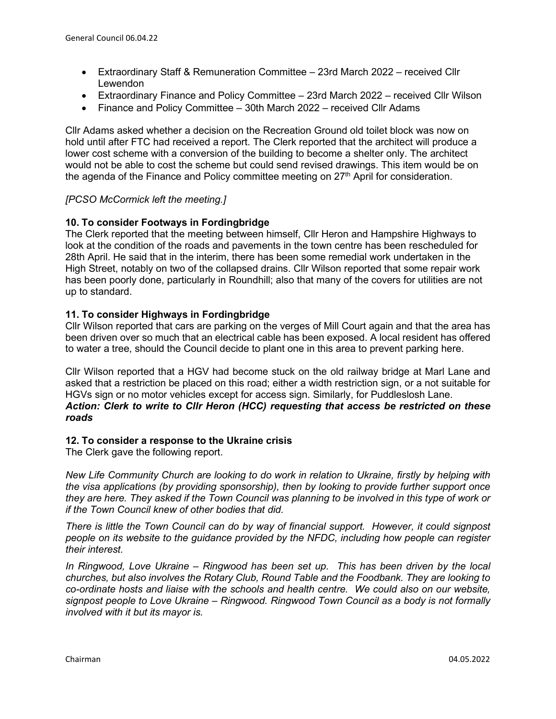- Extraordinary Staff & Remuneration Committee 23rd March 2022 received Cllr Lewendon
- Extraordinary Finance and Policy Committee 23rd March 2022 received Cllr Wilson
- Finance and Policy Committee 30th March 2022 received Cllr Adams

Cllr Adams asked whether a decision on the Recreation Ground old toilet block was now on hold until after FTC had received a report. The Clerk reported that the architect will produce a lower cost scheme with a conversion of the building to become a shelter only. The architect would not be able to cost the scheme but could send revised drawings. This item would be on the agenda of the Finance and Policy committee meeting on  $27<sup>th</sup>$  April for consideration.

# *[PCSO McCormick left the meeting.]*

# **10. To consider Footways in Fordingbridge**

The Clerk reported that the meeting between himself, Cllr Heron and Hampshire Highways to look at the condition of the roads and pavements in the town centre has been rescheduled for 28th April. He said that in the interim, there has been some remedial work undertaken in the High Street, notably on two of the collapsed drains. Cllr Wilson reported that some repair work has been poorly done, particularly in Roundhill; also that many of the covers for utilities are not up to standard.

# **11. To consider Highways in Fordingbridge**

Cllr Wilson reported that cars are parking on the verges of Mill Court again and that the area has been driven over so much that an electrical cable has been exposed. A local resident has offered to water a tree, should the Council decide to plant one in this area to prevent parking here.

Cllr Wilson reported that a HGV had become stuck on the old railway bridge at Marl Lane and asked that a restriction be placed on this road; either a width restriction sign, or a not suitable for HGVs sign or no motor vehicles except for access sign. Similarly, for Puddleslosh Lane. *Action: Clerk to write to Cllr Heron (HCC) requesting that access be restricted on these roads*

# **12. To consider a response to the Ukraine crisis**

The Clerk gave the following report.

*New Life Community Church are looking to do work in relation to Ukraine, firstly by helping with the visa applications (by providing sponsorship), then by looking to provide further support once they are here. They asked if the Town Council was planning to be involved in this type of work or if the Town Council knew of other bodies that did.* 

*There is little the Town Council can do by way of financial support. However, it could signpost people on its website to the guidance provided by the NFDC, including how people can register their interest.*

*In Ringwood, Love Ukraine – Ringwood has been set up. This has been driven by the local churches, but also involves the Rotary Club, Round Table and the Foodbank. They are looking to co-ordinate hosts and liaise with the schools and health centre. We could also on our website, signpost people to Love Ukraine – Ringwood. Ringwood Town Council as a body is not formally involved with it but its mayor is.*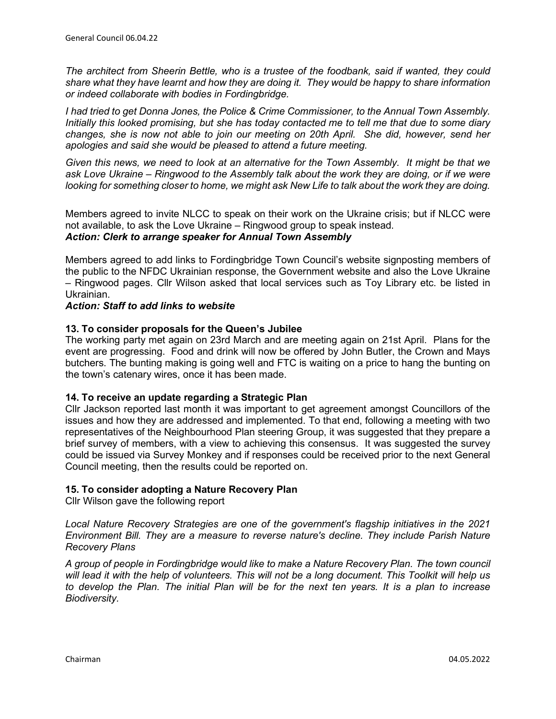*The architect from Sheerin Bettle, who is a trustee of the foodbank, said if wanted, they could share what they have learnt and how they are doing it. They would be happy to share information or indeed collaborate with bodies in Fordingbridge.*

*I had tried to get Donna Jones, the Police & Crime Commissioner, to the Annual Town Assembly. Initially this looked promising, but she has today contacted me to tell me that due to some diary changes, she is now not able to join our meeting on 20th April. She did, however, send her apologies and said she would be pleased to attend a future meeting.*

*Given this news, we need to look at an alternative for the Town Assembly. It might be that we ask Love Ukraine – Ringwood to the Assembly talk about the work they are doing, or if we were looking for something closer to home, we might ask New Life to talk about the work they are doing.*

Members agreed to invite NLCC to speak on their work on the Ukraine crisis; but if NLCC were not available, to ask the Love Ukraine – Ringwood group to speak instead. *Action: Clerk to arrange speaker for Annual Town Assembly*

Members agreed to add links to Fordingbridge Town Council's website signposting members of the public to the NFDC Ukrainian response, the Government website and also the Love Ukraine – Ringwood pages. Cllr Wilson asked that local services such as Toy Library etc. be listed in Ukrainian.

# *Action: Staff to add links to website*

# **13. To consider proposals for the Queen's Jubilee**

The working party met again on 23rd March and are meeting again on 21st April. Plans for the event are progressing. Food and drink will now be offered by John Butler, the Crown and Mays butchers. The bunting making is going well and FTC is waiting on a price to hang the bunting on the town's catenary wires, once it has been made.

### **14. To receive an update regarding a Strategic Plan**

Cllr Jackson reported last month it was important to get agreement amongst Councillors of the issues and how they are addressed and implemented. To that end, following a meeting with two representatives of the Neighbourhood Plan steering Group, it was suggested that they prepare a brief survey of members, with a view to achieving this consensus. It was suggested the survey could be issued via Survey Monkey and if responses could be received prior to the next General Council meeting, then the results could be reported on.

### **15. To consider adopting a Nature Recovery Plan**

Cllr Wilson gave the following report

*Local Nature Recovery Strategies are one of the government's flagship initiatives in the 2021 Environment Bill. They are a measure to reverse nature's decline. They include Parish Nature Recovery Plans*

*A group of people in Fordingbridge would like to make a Nature Recovery Plan. The town council will lead it with the help of volunteers. This will not be a long document. This Toolkit will help us to develop the Plan. The initial Plan will be for the next ten years. It is a plan to increase Biodiversity.*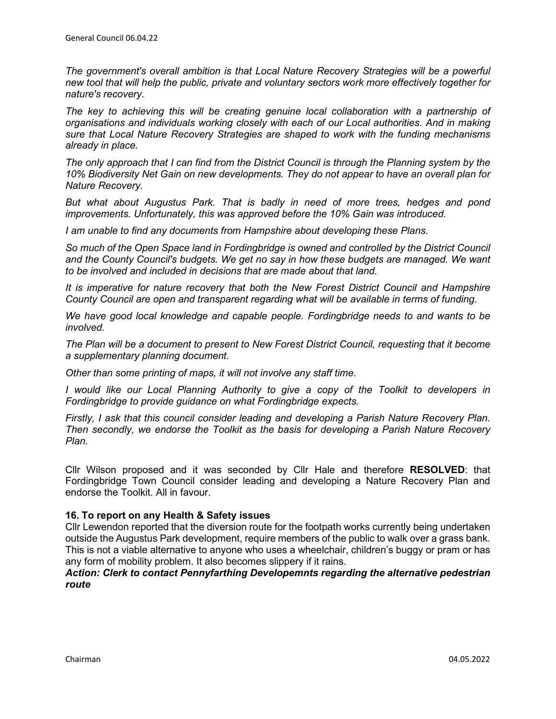*The government's overall ambition is that Local Nature Recovery Strategies will be a powerful new tool that will help the public, private and voluntary sectors work more effectively together for nature's recovery.*

*The key to achieving this will be creating genuine local collaboration with a partnership of organisations and individuals working closely with each of our Local authorities. And in making sure that Local Nature Recovery Strategies are shaped to work with the funding mechanisms already in place.*

*The only approach that I can find from the District Council is through the Planning system by the 10% Biodiversity Net Gain on new developments. They do not appear to have an overall plan for Nature Recovery.*

*But what about Augustus Park. That is badly in need of more trees, hedges and pond improvements. Unfortunately, this was approved before the 10% Gain was introduced.*

*I am unable to find any documents from Hampshire about developing these Plans.*

*So much of the Open Space land in Fordingbridge is owned and controlled by the District Council and the County Council's budgets. We get no say in how these budgets are managed. We want to be involved and included in decisions that are made about that land.*

*It is imperative for nature recovery that both the New Forest District Council and Hampshire County Council are open and transparent regarding what will be available in terms of funding.* 

*We have good local knowledge and capable people. Fordingbridge needs to and wants to be involved.* 

*The Plan will be a document to present to New Forest District Council, requesting that it become a supplementary planning document.*

*Other than some printing of maps, it will not involve any staff time.*

*I would like our Local Planning Authority to give a copy of the Toolkit to developers in Fordingbridge to provide guidance on what Fordingbridge expects.*

*Firstly, I ask that this council consider leading and developing a Parish Nature Recovery Plan. Then secondly, we endorse the Toolkit as the basis for developing a Parish Nature Recovery Plan.*

Cllr Wilson proposed and it was seconded by Cllr Hale and therefore **RESOLVED**: that Fordingbridge Town Council consider leading and developing a Nature Recovery Plan and endorse the Toolkit. All in favour.

### **16. To report on any Health & Safety issues**

Cllr Lewendon reported that the diversion route for the footpath works currently being undertaken outside the Augustus Park development, require members of the public to walk over a grass bank. This is not a viable alternative to anyone who uses a wheelchair, children's buggy or pram or has any form of mobility problem. It also becomes slippery if it rains.

### *Action: Clerk to contact Pennyfarthing Developemnts regarding the alternative pedestrian route*